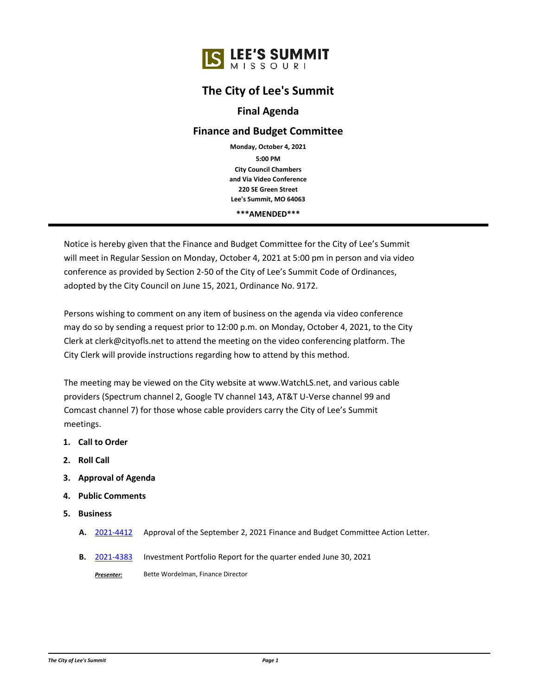## **The City of Lee's Summit**

## **Final Agenda**

## **Finance and Budget Committee**

**City Council Chambers and Via Video Conference 220 SE Green Street Lee's Summit, MO 64063 5:00 PM Monday, October 4, 2021**

**\*\*\*AMENDED\*\*\***

Notice is hereby given that the Finance and Budget Committee for the City of Lee's Summit will meet in Regular Session on Monday, October 4, 2021 at 5:00 pm in person and via video conference as provided by Section 2-50 of the City of Lee's Summit Code of Ordinances, adopted by the City Council on June 15, 2021, Ordinance No. 9172.

Persons wishing to comment on any item of business on the agenda via video conference may do so by sending a request prior to 12:00 p.m. on Monday, October 4, 2021, to the City Clerk at clerk@cityofls.net to attend the meeting on the video conferencing platform. The City Clerk will provide instructions regarding how to attend by this method.

The meeting may be viewed on the City website at www.WatchLS.net, and various cable providers (Spectrum channel 2, Google TV channel 143, AT&T U-Verse channel 99 and Comcast channel 7) for those whose cable providers carry the City of Lee's Summit meetings.

- **1. Call to Order**
- **2. Roll Call**
- **3. Approval of Agenda**
- **4. Public Comments**
- **5. Business**
	- **A.** [2021-4412](http://lsmo.legistar.com/gateway.aspx?m=l&id=/matter.aspx?key=7017) Approval of the September 2, 2021 Finance and Budget Committee Action Letter.
	- **B.** [2021-4383](http://lsmo.legistar.com/gateway.aspx?m=l&id=/matter.aspx?key=6986) Investment Portfolio Report for the quarter ended June 30, 2021

*Presenter:* Bette Wordelman, Finance Director